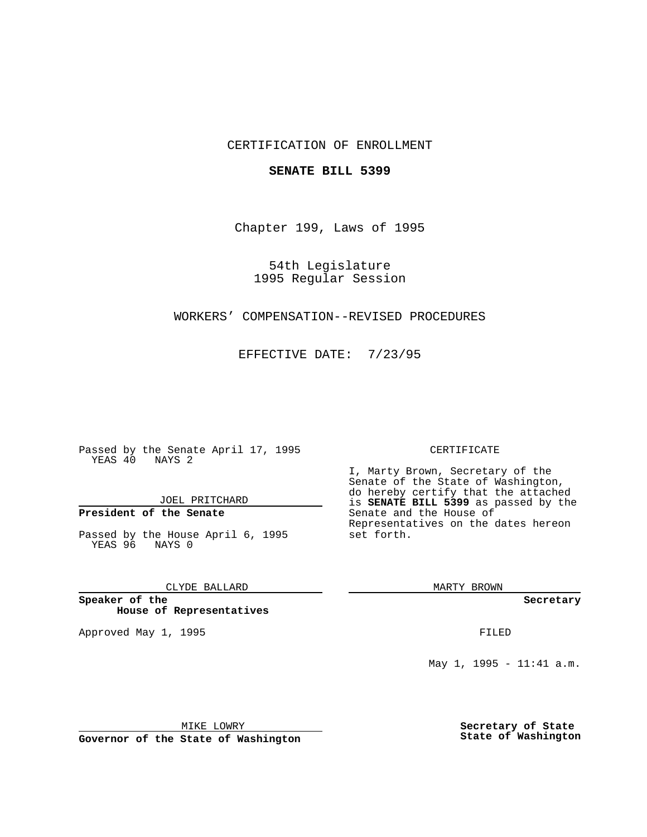# CERTIFICATION OF ENROLLMENT

## **SENATE BILL 5399**

Chapter 199, Laws of 1995

54th Legislature 1995 Regular Session

# WORKERS' COMPENSATION--REVISED PROCEDURES

EFFECTIVE DATE: 7/23/95

Passed by the Senate April 17, 1995 YEAS 40 NAYS 2

JOEL PRITCHARD

# **President of the Senate**

Passed by the House April 6, 1995 YEAS 96 NAYS 0

# CLYDE BALLARD

**Speaker of the House of Representatives**

Approved May 1, 1995 **FILED** 

### CERTIFICATE

I, Marty Brown, Secretary of the Senate of the State of Washington, do hereby certify that the attached is **SENATE BILL 5399** as passed by the Senate and the House of Representatives on the dates hereon set forth.

MARTY BROWN

**Secretary**

May 1, 1995 - 11:41 a.m.

MIKE LOWRY

**Governor of the State of Washington**

**Secretary of State State of Washington**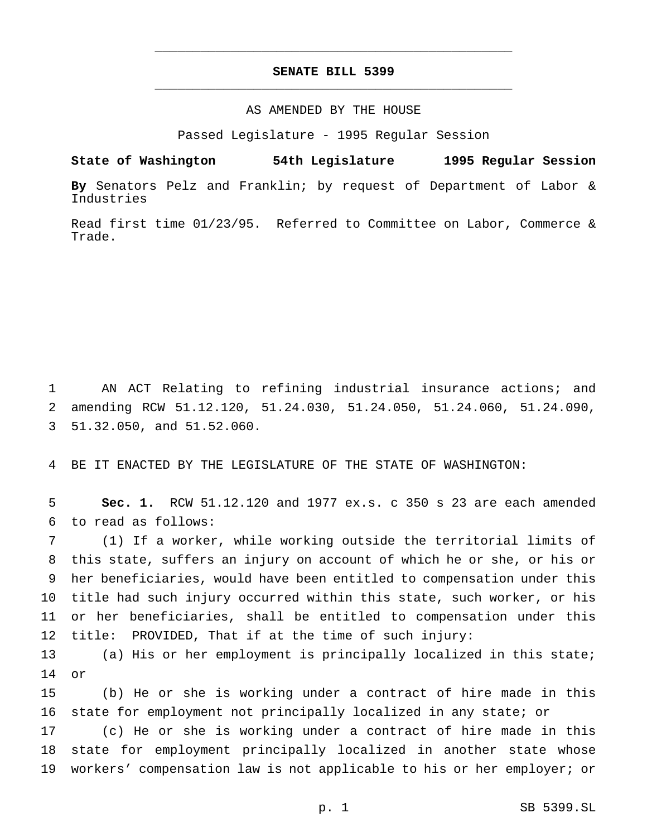# **SENATE BILL 5399** \_\_\_\_\_\_\_\_\_\_\_\_\_\_\_\_\_\_\_\_\_\_\_\_\_\_\_\_\_\_\_\_\_\_\_\_\_\_\_\_\_\_\_\_\_\_\_

\_\_\_\_\_\_\_\_\_\_\_\_\_\_\_\_\_\_\_\_\_\_\_\_\_\_\_\_\_\_\_\_\_\_\_\_\_\_\_\_\_\_\_\_\_\_\_

# AS AMENDED BY THE HOUSE

Passed Legislature - 1995 Regular Session

**State of Washington 54th Legislature 1995 Regular Session**

**By** Senators Pelz and Franklin; by request of Department of Labor & Industries

Read first time 01/23/95. Referred to Committee on Labor, Commerce & Trade.

 AN ACT Relating to refining industrial insurance actions; and amending RCW 51.12.120, 51.24.030, 51.24.050, 51.24.060, 51.24.090, 51.32.050, and 51.52.060.

BE IT ENACTED BY THE LEGISLATURE OF THE STATE OF WASHINGTON:

 **Sec. 1.** RCW 51.12.120 and 1977 ex.s. c 350 s 23 are each amended to read as follows:

 (1) If a worker, while working outside the territorial limits of this state, suffers an injury on account of which he or she, or his or her beneficiaries, would have been entitled to compensation under this title had such injury occurred within this state, such worker, or his or her beneficiaries, shall be entitled to compensation under this title: PROVIDED, That if at the time of such injury:

 (a) His or her employment is principally localized in this state; or

 (b) He or she is working under a contract of hire made in this state for employment not principally localized in any state; or

 (c) He or she is working under a contract of hire made in this state for employment principally localized in another state whose workers' compensation law is not applicable to his or her employer; or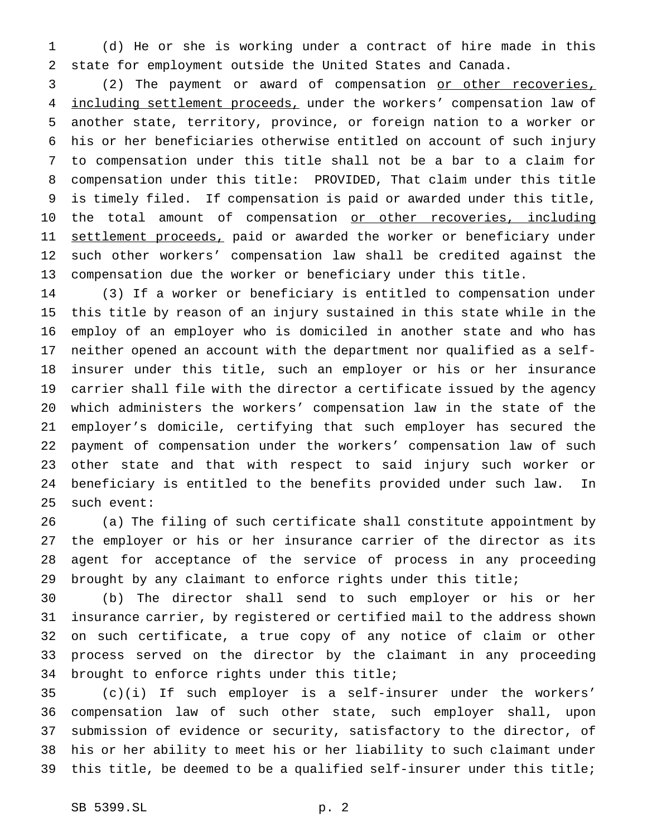(d) He or she is working under a contract of hire made in this state for employment outside the United States and Canada.

 (2) The payment or award of compensation or other recoveries, 4 including settlement proceeds, under the workers' compensation law of another state, territory, province, or foreign nation to a worker or his or her beneficiaries otherwise entitled on account of such injury to compensation under this title shall not be a bar to a claim for compensation under this title: PROVIDED, That claim under this title is timely filed. If compensation is paid or awarded under this title, 10 the total amount of compensation or other recoveries, including 11 settlement proceeds, paid or awarded the worker or beneficiary under such other workers' compensation law shall be credited against the compensation due the worker or beneficiary under this title.

 (3) If a worker or beneficiary is entitled to compensation under this title by reason of an injury sustained in this state while in the employ of an employer who is domiciled in another state and who has neither opened an account with the department nor qualified as a self- insurer under this title, such an employer or his or her insurance carrier shall file with the director a certificate issued by the agency which administers the workers' compensation law in the state of the employer's domicile, certifying that such employer has secured the payment of compensation under the workers' compensation law of such other state and that with respect to said injury such worker or beneficiary is entitled to the benefits provided under such law. In such event:

 (a) The filing of such certificate shall constitute appointment by the employer or his or her insurance carrier of the director as its agent for acceptance of the service of process in any proceeding brought by any claimant to enforce rights under this title;

 (b) The director shall send to such employer or his or her insurance carrier, by registered or certified mail to the address shown on such certificate, a true copy of any notice of claim or other process served on the director by the claimant in any proceeding brought to enforce rights under this title;

 (c)(i) If such employer is a self-insurer under the workers' compensation law of such other state, such employer shall, upon submission of evidence or security, satisfactory to the director, of his or her ability to meet his or her liability to such claimant under this title, be deemed to be a qualified self-insurer under this title;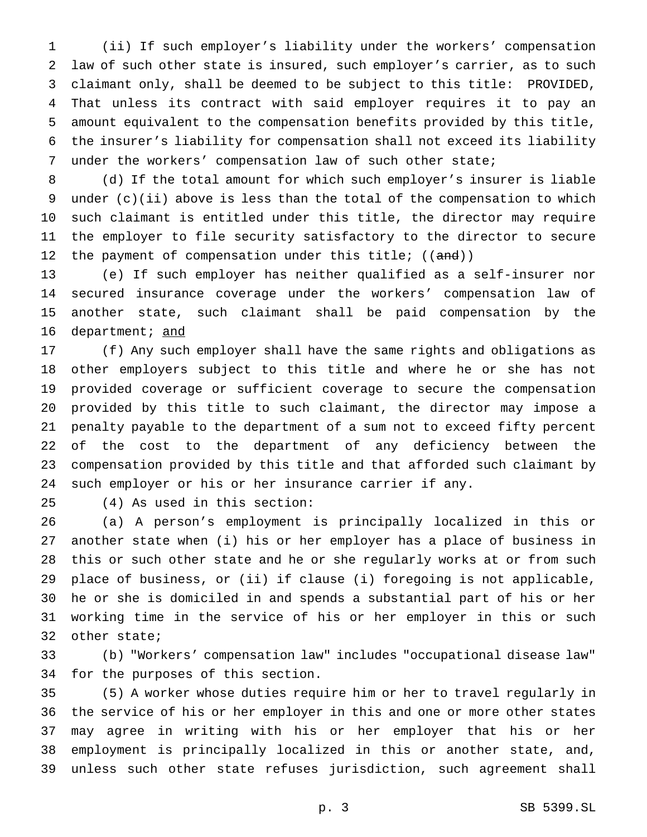(ii) If such employer's liability under the workers' compensation law of such other state is insured, such employer's carrier, as to such claimant only, shall be deemed to be subject to this title: PROVIDED, That unless its contract with said employer requires it to pay an amount equivalent to the compensation benefits provided by this title, the insurer's liability for compensation shall not exceed its liability under the workers' compensation law of such other state;

 (d) If the total amount for which such employer's insurer is liable under (c)(ii) above is less than the total of the compensation to which such claimant is entitled under this title, the director may require the employer to file security satisfactory to the director to secure 12 the payment of compensation under this title;  $((and))$ 

 (e) If such employer has neither qualified as a self-insurer nor secured insurance coverage under the workers' compensation law of another state, such claimant shall be paid compensation by the 16 department; and

 (f) Any such employer shall have the same rights and obligations as other employers subject to this title and where he or she has not provided coverage or sufficient coverage to secure the compensation provided by this title to such claimant, the director may impose a penalty payable to the department of a sum not to exceed fifty percent of the cost to the department of any deficiency between the compensation provided by this title and that afforded such claimant by such employer or his or her insurance carrier if any.

(4) As used in this section:

 (a) A person's employment is principally localized in this or another state when (i) his or her employer has a place of business in this or such other state and he or she regularly works at or from such place of business, or (ii) if clause (i) foregoing is not applicable, he or she is domiciled in and spends a substantial part of his or her working time in the service of his or her employer in this or such other state;

 (b) "Workers' compensation law" includes "occupational disease law" for the purposes of this section.

 (5) A worker whose duties require him or her to travel regularly in the service of his or her employer in this and one or more other states may agree in writing with his or her employer that his or her employment is principally localized in this or another state, and, unless such other state refuses jurisdiction, such agreement shall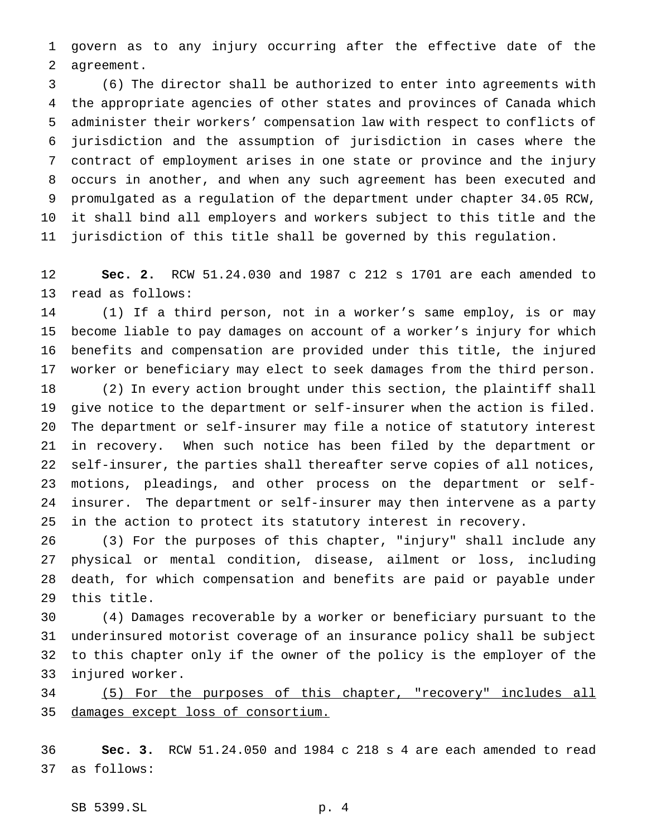govern as to any injury occurring after the effective date of the agreement.

 (6) The director shall be authorized to enter into agreements with the appropriate agencies of other states and provinces of Canada which administer their workers' compensation law with respect to conflicts of jurisdiction and the assumption of jurisdiction in cases where the contract of employment arises in one state or province and the injury occurs in another, and when any such agreement has been executed and promulgated as a regulation of the department under chapter 34.05 RCW, it shall bind all employers and workers subject to this title and the jurisdiction of this title shall be governed by this regulation.

 **Sec. 2.** RCW 51.24.030 and 1987 c 212 s 1701 are each amended to read as follows:

 (1) If a third person, not in a worker's same employ, is or may become liable to pay damages on account of a worker's injury for which benefits and compensation are provided under this title, the injured worker or beneficiary may elect to seek damages from the third person.

 (2) In every action brought under this section, the plaintiff shall give notice to the department or self-insurer when the action is filed. The department or self-insurer may file a notice of statutory interest in recovery. When such notice has been filed by the department or self-insurer, the parties shall thereafter serve copies of all notices, motions, pleadings, and other process on the department or self- insurer. The department or self-insurer may then intervene as a party in the action to protect its statutory interest in recovery.

 (3) For the purposes of this chapter, "injury" shall include any physical or mental condition, disease, ailment or loss, including death, for which compensation and benefits are paid or payable under this title.

 (4) Damages recoverable by a worker or beneficiary pursuant to the underinsured motorist coverage of an insurance policy shall be subject to this chapter only if the owner of the policy is the employer of the injured worker.

 (5) For the purposes of this chapter, "recovery" includes all damages except loss of consortium.

 **Sec. 3.** RCW 51.24.050 and 1984 c 218 s 4 are each amended to read as follows:

SB 5399.SL p. 4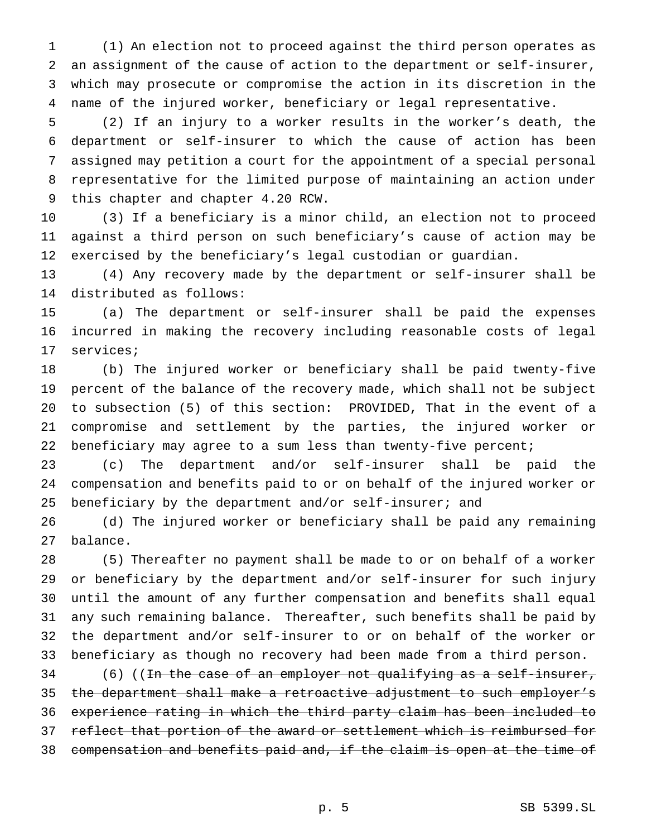(1) An election not to proceed against the third person operates as an assignment of the cause of action to the department or self-insurer, which may prosecute or compromise the action in its discretion in the name of the injured worker, beneficiary or legal representative.

 (2) If an injury to a worker results in the worker's death, the department or self-insurer to which the cause of action has been assigned may petition a court for the appointment of a special personal representative for the limited purpose of maintaining an action under this chapter and chapter 4.20 RCW.

 (3) If a beneficiary is a minor child, an election not to proceed against a third person on such beneficiary's cause of action may be exercised by the beneficiary's legal custodian or guardian.

 (4) Any recovery made by the department or self-insurer shall be distributed as follows:

 (a) The department or self-insurer shall be paid the expenses incurred in making the recovery including reasonable costs of legal services;

 (b) The injured worker or beneficiary shall be paid twenty-five percent of the balance of the recovery made, which shall not be subject to subsection (5) of this section: PROVIDED, That in the event of a compromise and settlement by the parties, the injured worker or beneficiary may agree to a sum less than twenty-five percent;

 (c) The department and/or self-insurer shall be paid the compensation and benefits paid to or on behalf of the injured worker or beneficiary by the department and/or self-insurer; and

 (d) The injured worker or beneficiary shall be paid any remaining balance.

 (5) Thereafter no payment shall be made to or on behalf of a worker or beneficiary by the department and/or self-insurer for such injury until the amount of any further compensation and benefits shall equal any such remaining balance. Thereafter, such benefits shall be paid by the department and/or self-insurer to or on behalf of the worker or beneficiary as though no recovery had been made from a third person.

 (6) ((In the case of an employer not qualifying as a self-insurer, the department shall make a retroactive adjustment to such employer's experience rating in which the third party claim has been included to reflect that portion of the award or settlement which is reimbursed for compensation and benefits paid and, if the claim is open at the time of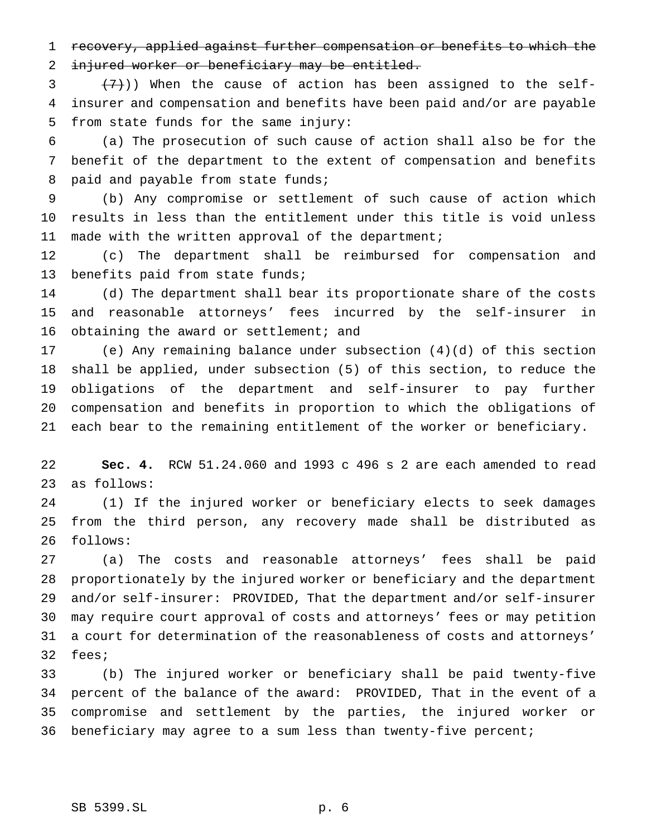recovery, applied against further compensation or benefits to which the injured worker or beneficiary may be entitled.

 $(3 + (7))$ ) When the cause of action has been assigned to the self- insurer and compensation and benefits have been paid and/or are payable from state funds for the same injury:

 (a) The prosecution of such cause of action shall also be for the benefit of the department to the extent of compensation and benefits 8 paid and payable from state funds;

 (b) Any compromise or settlement of such cause of action which results in less than the entitlement under this title is void unless made with the written approval of the department;

 (c) The department shall be reimbursed for compensation and benefits paid from state funds;

 (d) The department shall bear its proportionate share of the costs and reasonable attorneys' fees incurred by the self-insurer in 16 obtaining the award or settlement; and

 (e) Any remaining balance under subsection (4)(d) of this section shall be applied, under subsection (5) of this section, to reduce the obligations of the department and self-insurer to pay further compensation and benefits in proportion to which the obligations of each bear to the remaining entitlement of the worker or beneficiary.

 **Sec. 4.** RCW 51.24.060 and 1993 c 496 s 2 are each amended to read as follows:

 (1) If the injured worker or beneficiary elects to seek damages from the third person, any recovery made shall be distributed as follows:

 (a) The costs and reasonable attorneys' fees shall be paid proportionately by the injured worker or beneficiary and the department and/or self-insurer: PROVIDED, That the department and/or self-insurer may require court approval of costs and attorneys' fees or may petition a court for determination of the reasonableness of costs and attorneys' fees;

 (b) The injured worker or beneficiary shall be paid twenty-five percent of the balance of the award: PROVIDED, That in the event of a compromise and settlement by the parties, the injured worker or beneficiary may agree to a sum less than twenty-five percent;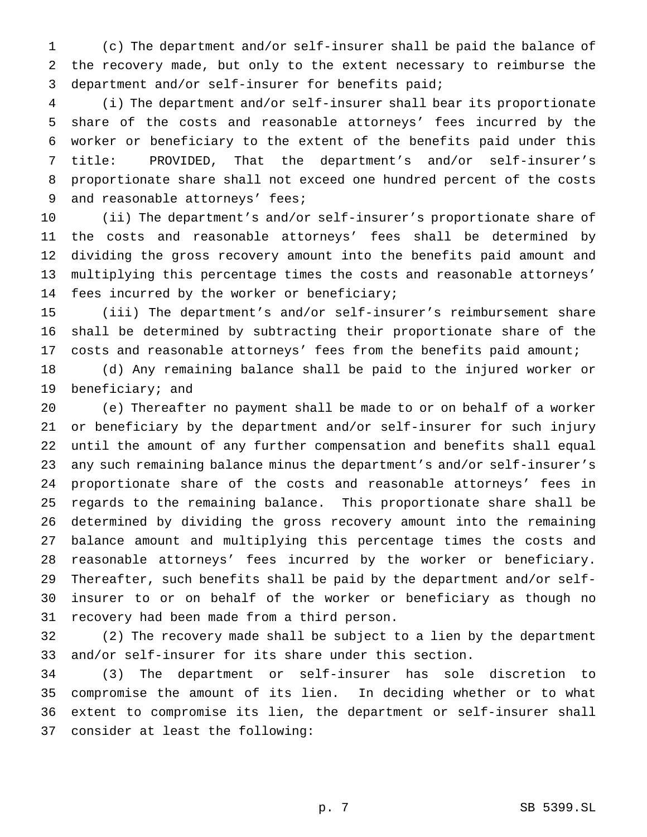(c) The department and/or self-insurer shall be paid the balance of the recovery made, but only to the extent necessary to reimburse the department and/or self-insurer for benefits paid;

 (i) The department and/or self-insurer shall bear its proportionate share of the costs and reasonable attorneys' fees incurred by the worker or beneficiary to the extent of the benefits paid under this title: PROVIDED, That the department's and/or self-insurer's proportionate share shall not exceed one hundred percent of the costs and reasonable attorneys' fees;

 (ii) The department's and/or self-insurer's proportionate share of the costs and reasonable attorneys' fees shall be determined by dividing the gross recovery amount into the benefits paid amount and multiplying this percentage times the costs and reasonable attorneys' fees incurred by the worker or beneficiary;

 (iii) The department's and/or self-insurer's reimbursement share shall be determined by subtracting their proportionate share of the costs and reasonable attorneys' fees from the benefits paid amount;

 (d) Any remaining balance shall be paid to the injured worker or beneficiary; and

 (e) Thereafter no payment shall be made to or on behalf of a worker or beneficiary by the department and/or self-insurer for such injury until the amount of any further compensation and benefits shall equal any such remaining balance minus the department's and/or self-insurer's proportionate share of the costs and reasonable attorneys' fees in regards to the remaining balance. This proportionate share shall be determined by dividing the gross recovery amount into the remaining balance amount and multiplying this percentage times the costs and reasonable attorneys' fees incurred by the worker or beneficiary. Thereafter, such benefits shall be paid by the department and/or self- insurer to or on behalf of the worker or beneficiary as though no recovery had been made from a third person.

 (2) The recovery made shall be subject to a lien by the department and/or self-insurer for its share under this section.

 (3) The department or self-insurer has sole discretion to compromise the amount of its lien. In deciding whether or to what extent to compromise its lien, the department or self-insurer shall consider at least the following: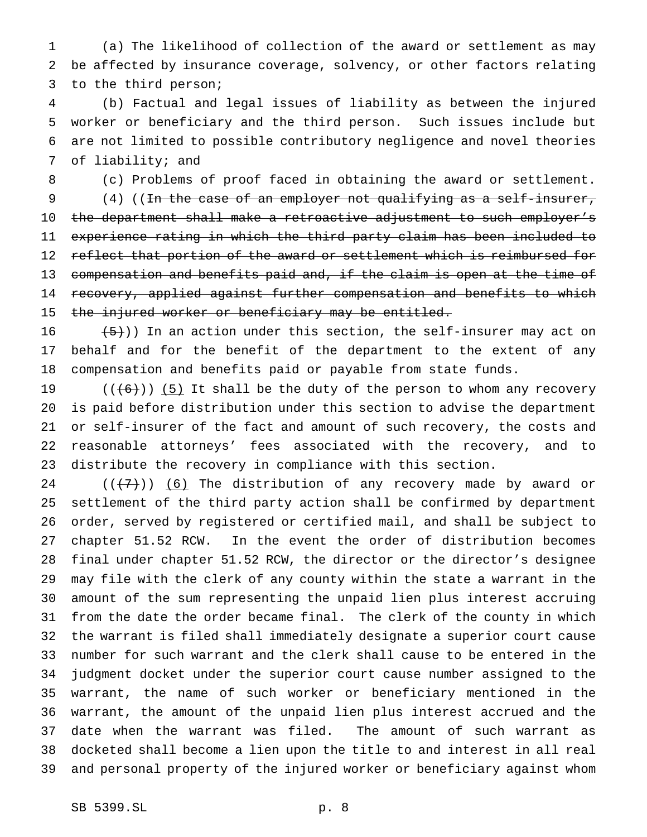(a) The likelihood of collection of the award or settlement as may be affected by insurance coverage, solvency, or other factors relating to the third person;

 (b) Factual and legal issues of liability as between the injured worker or beneficiary and the third person. Such issues include but are not limited to possible contributory negligence and novel theories of liability; and

(c) Problems of proof faced in obtaining the award or settlement.

 (4) ((In the case of an employer not qualifying as a self-insurer, 10 the department shall make a retroactive adjustment to such employer's experience rating in which the third party claim has been included to 12 reflect that portion of the award or settlement which is reimbursed for compensation and benefits paid and, if the claim is open at the time of 14 recovery, applied against further compensation and benefits to which 15 the injured worker or beneficiary may be entitled.

 $(5)$ )) In an action under this section, the self-insurer may act on behalf and for the benefit of the department to the extent of any compensation and benefits paid or payable from state funds.

 $((+6))$  (5) It shall be the duty of the person to whom any recovery is paid before distribution under this section to advise the department or self-insurer of the fact and amount of such recovery, the costs and reasonable attorneys' fees associated with the recovery, and to distribute the recovery in compliance with this section.

 $((+7))$  (6) The distribution of any recovery made by award or settlement of the third party action shall be confirmed by department order, served by registered or certified mail, and shall be subject to chapter 51.52 RCW. In the event the order of distribution becomes final under chapter 51.52 RCW, the director or the director's designee may file with the clerk of any county within the state a warrant in the amount of the sum representing the unpaid lien plus interest accruing from the date the order became final. The clerk of the county in which the warrant is filed shall immediately designate a superior court cause number for such warrant and the clerk shall cause to be entered in the judgment docket under the superior court cause number assigned to the warrant, the name of such worker or beneficiary mentioned in the warrant, the amount of the unpaid lien plus interest accrued and the date when the warrant was filed. The amount of such warrant as docketed shall become a lien upon the title to and interest in all real and personal property of the injured worker or beneficiary against whom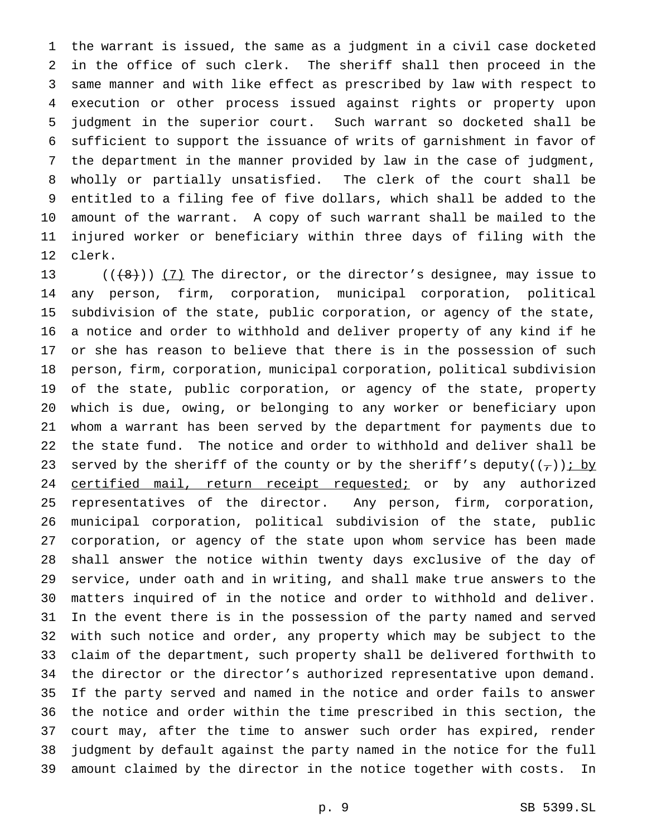the warrant is issued, the same as a judgment in a civil case docketed in the office of such clerk. The sheriff shall then proceed in the same manner and with like effect as prescribed by law with respect to execution or other process issued against rights or property upon judgment in the superior court. Such warrant so docketed shall be sufficient to support the issuance of writs of garnishment in favor of the department in the manner provided by law in the case of judgment, wholly or partially unsatisfied. The clerk of the court shall be entitled to a filing fee of five dollars, which shall be added to the amount of the warrant. A copy of such warrant shall be mailed to the injured worker or beneficiary within three days of filing with the clerk.

 $((+8))$   $(7)$  The director, or the director's designee, may issue to any person, firm, corporation, municipal corporation, political subdivision of the state, public corporation, or agency of the state, a notice and order to withhold and deliver property of any kind if he or she has reason to believe that there is in the possession of such person, firm, corporation, municipal corporation, political subdivision of the state, public corporation, or agency of the state, property which is due, owing, or belonging to any worker or beneficiary upon whom a warrant has been served by the department for payments due to the state fund. The notice and order to withhold and deliver shall be 23 served by the sheriff of the county or by the sheriff's deputy( $(\tau)$ ) i by 24 certified mail, return receipt requested; or by any authorized representatives of the director. Any person, firm, corporation, municipal corporation, political subdivision of the state, public corporation, or agency of the state upon whom service has been made shall answer the notice within twenty days exclusive of the day of service, under oath and in writing, and shall make true answers to the matters inquired of in the notice and order to withhold and deliver. In the event there is in the possession of the party named and served with such notice and order, any property which may be subject to the claim of the department, such property shall be delivered forthwith to the director or the director's authorized representative upon demand. If the party served and named in the notice and order fails to answer the notice and order within the time prescribed in this section, the court may, after the time to answer such order has expired, render judgment by default against the party named in the notice for the full amount claimed by the director in the notice together with costs. In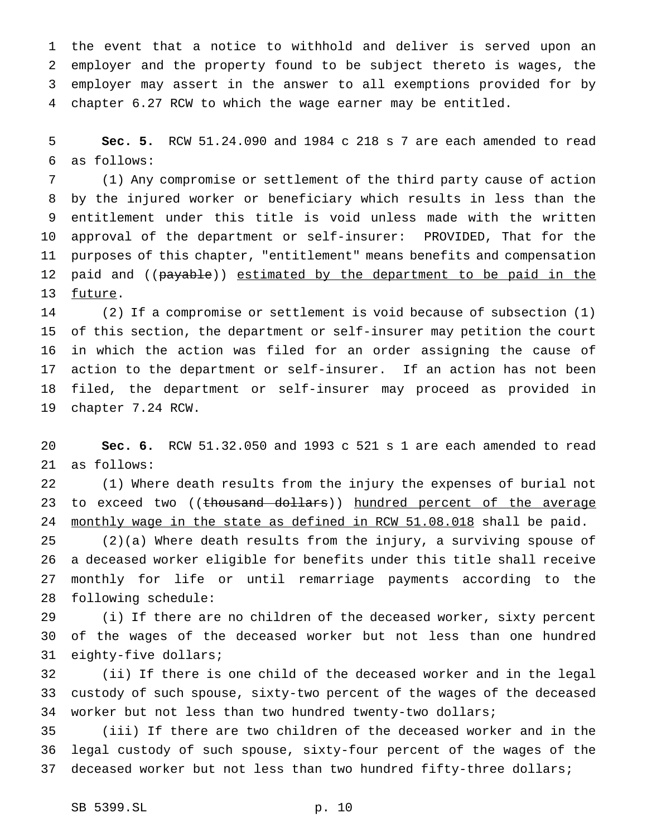the event that a notice to withhold and deliver is served upon an employer and the property found to be subject thereto is wages, the employer may assert in the answer to all exemptions provided for by chapter 6.27 RCW to which the wage earner may be entitled.

 **Sec. 5.** RCW 51.24.090 and 1984 c 218 s 7 are each amended to read as follows:

 (1) Any compromise or settlement of the third party cause of action by the injured worker or beneficiary which results in less than the entitlement under this title is void unless made with the written approval of the department or self-insurer: PROVIDED, That for the purposes of this chapter, "entitlement" means benefits and compensation 12 paid and ((payable)) estimated by the department to be paid in the future.

 (2) If a compromise or settlement is void because of subsection (1) of this section, the department or self-insurer may petition the court in which the action was filed for an order assigning the cause of action to the department or self-insurer. If an action has not been filed, the department or self-insurer may proceed as provided in chapter 7.24 RCW.

 **Sec. 6.** RCW 51.32.050 and 1993 c 521 s 1 are each amended to read as follows:

 (1) Where death results from the injury the expenses of burial not 23 to exceed two ((thousand dollars)) hundred percent of the average 24 monthly wage in the state as defined in RCW 51.08.018 shall be paid.

 (2)(a) Where death results from the injury, a surviving spouse of a deceased worker eligible for benefits under this title shall receive monthly for life or until remarriage payments according to the following schedule:

 (i) If there are no children of the deceased worker, sixty percent of the wages of the deceased worker but not less than one hundred eighty-five dollars;

 (ii) If there is one child of the deceased worker and in the legal custody of such spouse, sixty-two percent of the wages of the deceased worker but not less than two hundred twenty-two dollars;

 (iii) If there are two children of the deceased worker and in the legal custody of such spouse, sixty-four percent of the wages of the deceased worker but not less than two hundred fifty-three dollars;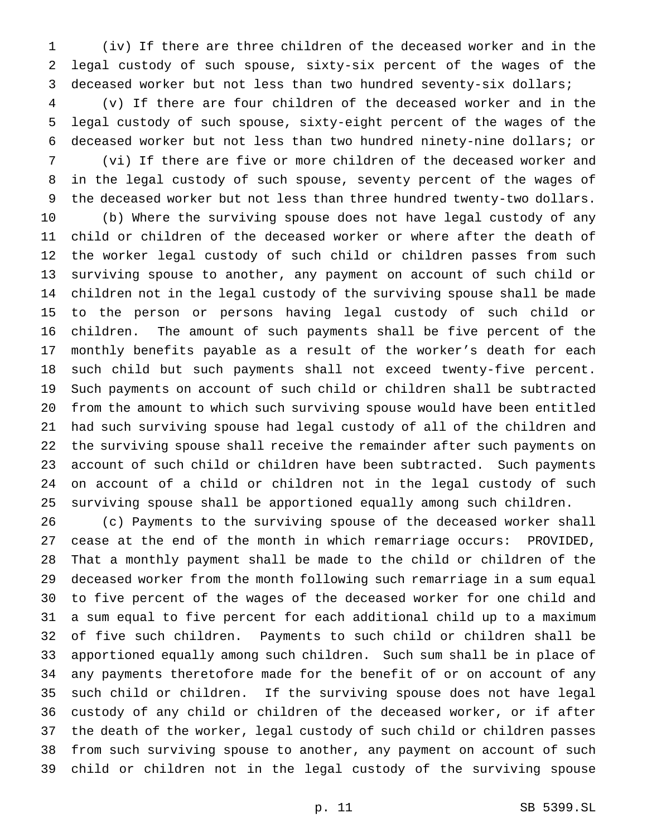(iv) If there are three children of the deceased worker and in the legal custody of such spouse, sixty-six percent of the wages of the deceased worker but not less than two hundred seventy-six dollars;

 (v) If there are four children of the deceased worker and in the legal custody of such spouse, sixty-eight percent of the wages of the deceased worker but not less than two hundred ninety-nine dollars; or

 (vi) If there are five or more children of the deceased worker and in the legal custody of such spouse, seventy percent of the wages of the deceased worker but not less than three hundred twenty-two dollars.

 (b) Where the surviving spouse does not have legal custody of any child or children of the deceased worker or where after the death of the worker legal custody of such child or children passes from such surviving spouse to another, any payment on account of such child or children not in the legal custody of the surviving spouse shall be made to the person or persons having legal custody of such child or children. The amount of such payments shall be five percent of the monthly benefits payable as a result of the worker's death for each such child but such payments shall not exceed twenty-five percent. Such payments on account of such child or children shall be subtracted from the amount to which such surviving spouse would have been entitled had such surviving spouse had legal custody of all of the children and the surviving spouse shall receive the remainder after such payments on account of such child or children have been subtracted. Such payments on account of a child or children not in the legal custody of such surviving spouse shall be apportioned equally among such children.

 (c) Payments to the surviving spouse of the deceased worker shall cease at the end of the month in which remarriage occurs: PROVIDED, That a monthly payment shall be made to the child or children of the deceased worker from the month following such remarriage in a sum equal to five percent of the wages of the deceased worker for one child and a sum equal to five percent for each additional child up to a maximum of five such children. Payments to such child or children shall be apportioned equally among such children. Such sum shall be in place of any payments theretofore made for the benefit of or on account of any such child or children. If the surviving spouse does not have legal custody of any child or children of the deceased worker, or if after the death of the worker, legal custody of such child or children passes from such surviving spouse to another, any payment on account of such child or children not in the legal custody of the surviving spouse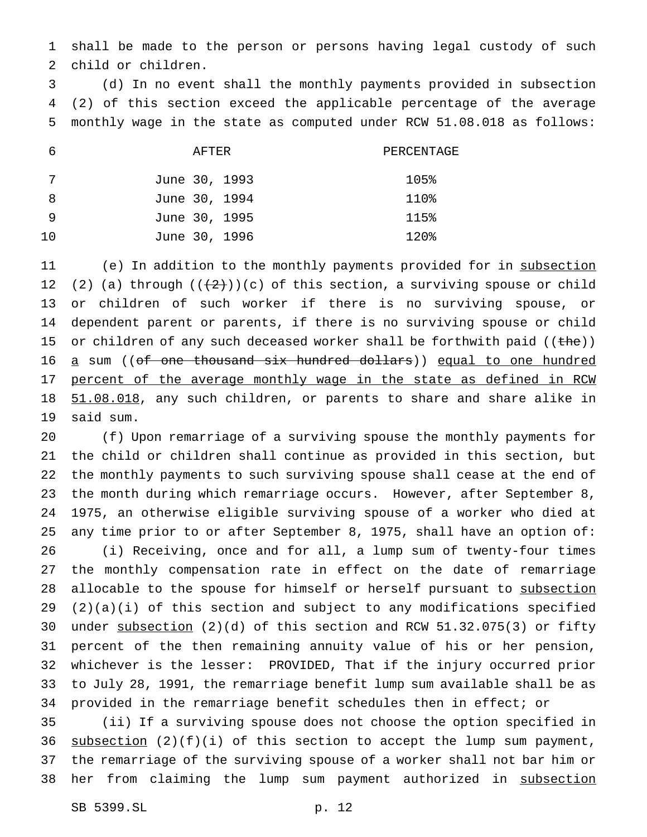shall be made to the person or persons having legal custody of such child or children.

 (d) In no event shall the monthly payments provided in subsection (2) of this section exceed the applicable percentage of the average monthly wage in the state as computed under RCW 51.08.018 as follows:

|    | AFTER         | PERCENTAGE |
|----|---------------|------------|
|    | June 30, 1993 | 105%       |
| -8 | June 30, 1994 | 110%       |
| -9 | June 30, 1995 | 115%       |
| 10 | June 30, 1996 | 120%       |

11 (e) In addition to the monthly payments provided for in subsection 12 (2) (a) through  $((+2)^{n})$  (c) of this section, a surviving spouse or child or children of such worker if there is no surviving spouse, or dependent parent or parents, if there is no surviving spouse or child 15 or children of any such deceased worker shall be forthwith paid  $((the)$ ) 16 a sum ((of one thousand six hundred dollars)) equal to one hundred 17 percent of the average monthly wage in the state as defined in RCW 18 51.08.018, any such children, or parents to share and share alike in said sum.

 (f) Upon remarriage of a surviving spouse the monthly payments for the child or children shall continue as provided in this section, but the monthly payments to such surviving spouse shall cease at the end of the month during which remarriage occurs. However, after September 8, 1975, an otherwise eligible surviving spouse of a worker who died at any time prior to or after September 8, 1975, shall have an option of: (i) Receiving, once and for all, a lump sum of twenty-four times the monthly compensation rate in effect on the date of remarriage 28 allocable to the spouse for himself or herself pursuant to subsection (2)(a)(i) of this section and subject to any modifications specified under subsection (2)(d) of this section and RCW 51.32.075(3) or fifty percent of the then remaining annuity value of his or her pension, whichever is the lesser: PROVIDED, That if the injury occurred prior to July 28, 1991, the remarriage benefit lump sum available shall be as provided in the remarriage benefit schedules then in effect; or

 (ii) If a surviving spouse does not choose the option specified in 36 subsection  $(2)(f)(i)$  of this section to accept the lump sum payment, the remarriage of the surviving spouse of a worker shall not bar him or 38 her from claiming the lump sum payment authorized in subsection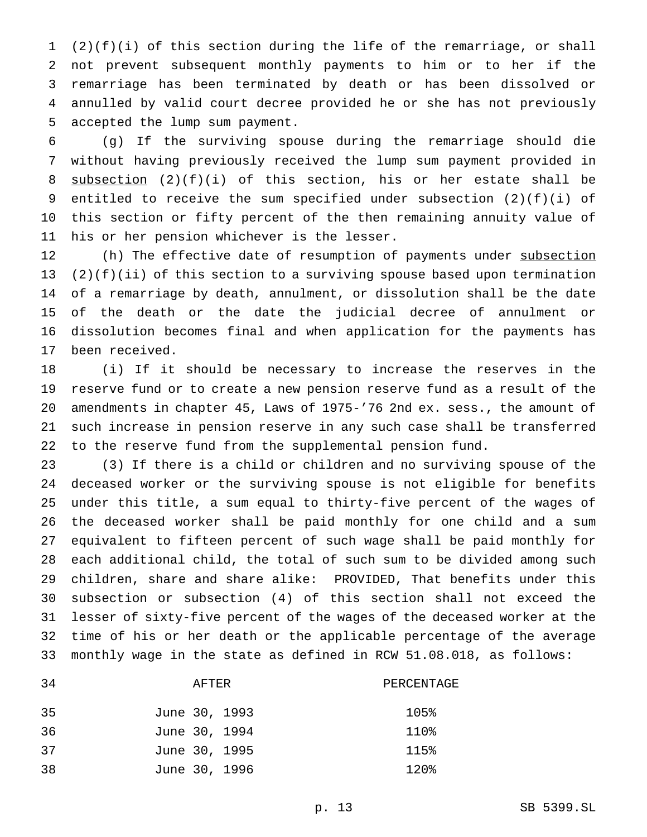(2)(f)(i) of this section during the life of the remarriage, or shall not prevent subsequent monthly payments to him or to her if the remarriage has been terminated by death or has been dissolved or annulled by valid court decree provided he or she has not previously accepted the lump sum payment.

 (g) If the surviving spouse during the remarriage should die without having previously received the lump sum payment provided in subsection (2)(f)(i) of this section, his or her estate shall be 9 entitled to receive the sum specified under subsection  $(2)(f)(i)$  of this section or fifty percent of the then remaining annuity value of his or her pension whichever is the lesser.

12 (h) The effective date of resumption of payments under subsection (2)(f)(ii) of this section to a surviving spouse based upon termination of a remarriage by death, annulment, or dissolution shall be the date of the death or the date the judicial decree of annulment or dissolution becomes final and when application for the payments has been received.

 (i) If it should be necessary to increase the reserves in the reserve fund or to create a new pension reserve fund as a result of the amendments in chapter 45, Laws of 1975-'76 2nd ex. sess., the amount of such increase in pension reserve in any such case shall be transferred to the reserve fund from the supplemental pension fund.

 (3) If there is a child or children and no surviving spouse of the deceased worker or the surviving spouse is not eligible for benefits under this title, a sum equal to thirty-five percent of the wages of the deceased worker shall be paid monthly for one child and a sum equivalent to fifteen percent of such wage shall be paid monthly for each additional child, the total of such sum to be divided among such children, share and share alike: PROVIDED, That benefits under this subsection or subsection (4) of this section shall not exceed the lesser of sixty-five percent of the wages of the deceased worker at the time of his or her death or the applicable percentage of the average monthly wage in the state as defined in RCW 51.08.018, as follows:

# AFTER PERCENTAGE

| 35 | June 30, 1993 | 105% |
|----|---------------|------|
| 36 | June 30, 1994 | 110% |
| 37 | June 30, 1995 | 115% |
| 38 | June 30, 1996 | 120% |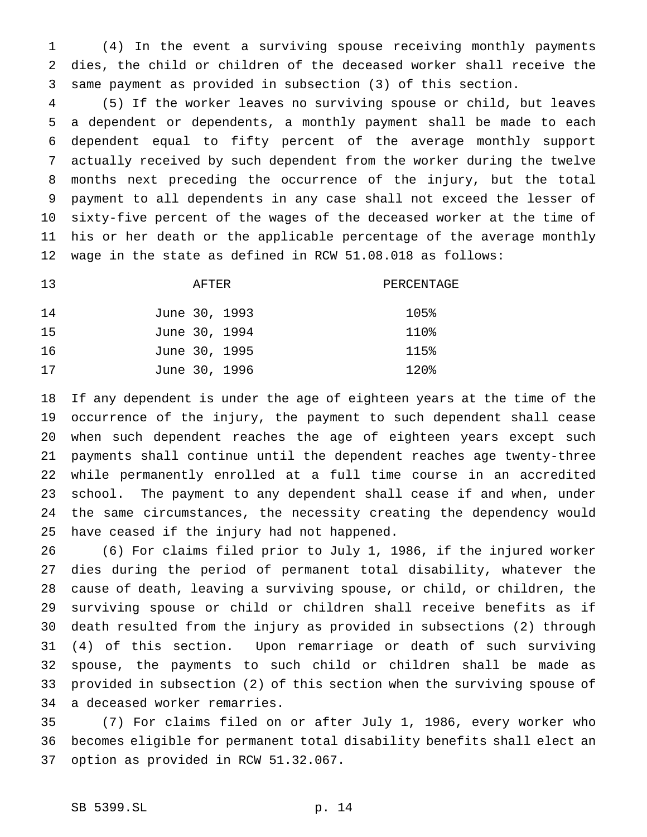(4) In the event a surviving spouse receiving monthly payments dies, the child or children of the deceased worker shall receive the same payment as provided in subsection (3) of this section.

 (5) If the worker leaves no surviving spouse or child, but leaves a dependent or dependents, a monthly payment shall be made to each dependent equal to fifty percent of the average monthly support actually received by such dependent from the worker during the twelve months next preceding the occurrence of the injury, but the total payment to all dependents in any case shall not exceed the lesser of sixty-five percent of the wages of the deceased worker at the time of his or her death or the applicable percentage of the average monthly wage in the state as defined in RCW 51.08.018 as follows:

| 13 | AFTER         | PERCENTAGE |
|----|---------------|------------|
| 14 | June 30, 1993 | 105%       |
| 15 | June 30, 1994 | 110%       |
| 16 | June 30, 1995 | 115%       |
| 17 | June 30, 1996 | 120%       |

 If any dependent is under the age of eighteen years at the time of the occurrence of the injury, the payment to such dependent shall cease when such dependent reaches the age of eighteen years except such payments shall continue until the dependent reaches age twenty-three while permanently enrolled at a full time course in an accredited school. The payment to any dependent shall cease if and when, under the same circumstances, the necessity creating the dependency would have ceased if the injury had not happened.

 (6) For claims filed prior to July 1, 1986, if the injured worker dies during the period of permanent total disability, whatever the cause of death, leaving a surviving spouse, or child, or children, the surviving spouse or child or children shall receive benefits as if death resulted from the injury as provided in subsections (2) through (4) of this section. Upon remarriage or death of such surviving spouse, the payments to such child or children shall be made as provided in subsection (2) of this section when the surviving spouse of a deceased worker remarries.

 (7) For claims filed on or after July 1, 1986, every worker who becomes eligible for permanent total disability benefits shall elect an option as provided in RCW 51.32.067.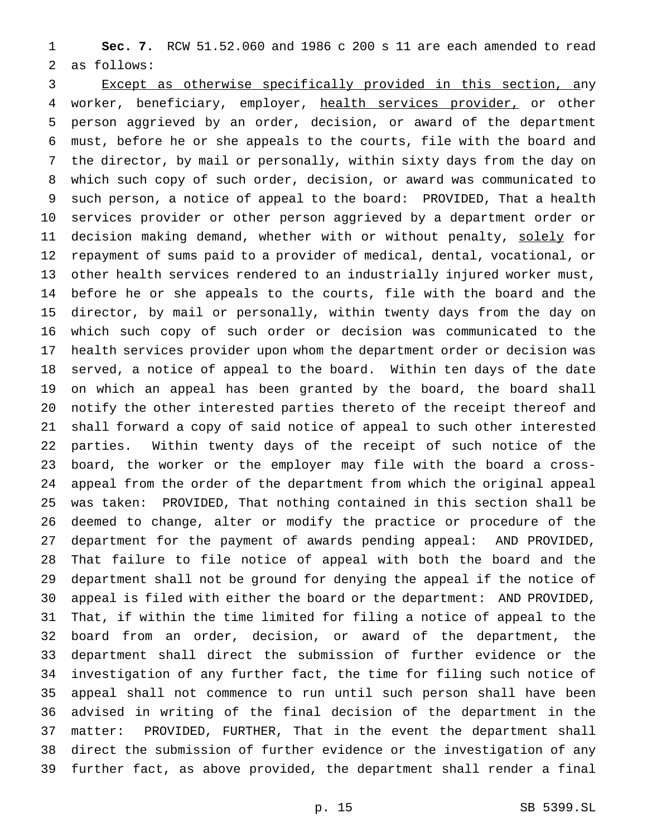**Sec. 7.** RCW 51.52.060 and 1986 c 200 s 11 are each amended to read as follows:

 Except as otherwise specifically provided in this section, any 4 worker, beneficiary, employer, health services provider, or other person aggrieved by an order, decision, or award of the department must, before he or she appeals to the courts, file with the board and the director, by mail or personally, within sixty days from the day on which such copy of such order, decision, or award was communicated to such person, a notice of appeal to the board: PROVIDED, That a health services provider or other person aggrieved by a department order or 11 decision making demand, whether with or without penalty, solely for repayment of sums paid to a provider of medical, dental, vocational, or other health services rendered to an industrially injured worker must, before he or she appeals to the courts, file with the board and the director, by mail or personally, within twenty days from the day on which such copy of such order or decision was communicated to the health services provider upon whom the department order or decision was served, a notice of appeal to the board. Within ten days of the date on which an appeal has been granted by the board, the board shall notify the other interested parties thereto of the receipt thereof and shall forward a copy of said notice of appeal to such other interested parties. Within twenty days of the receipt of such notice of the board, the worker or the employer may file with the board a cross- appeal from the order of the department from which the original appeal was taken: PROVIDED, That nothing contained in this section shall be deemed to change, alter or modify the practice or procedure of the department for the payment of awards pending appeal: AND PROVIDED, That failure to file notice of appeal with both the board and the department shall not be ground for denying the appeal if the notice of appeal is filed with either the board or the department: AND PROVIDED, That, if within the time limited for filing a notice of appeal to the board from an order, decision, or award of the department, the department shall direct the submission of further evidence or the investigation of any further fact, the time for filing such notice of appeal shall not commence to run until such person shall have been advised in writing of the final decision of the department in the matter: PROVIDED, FURTHER, That in the event the department shall direct the submission of further evidence or the investigation of any further fact, as above provided, the department shall render a final